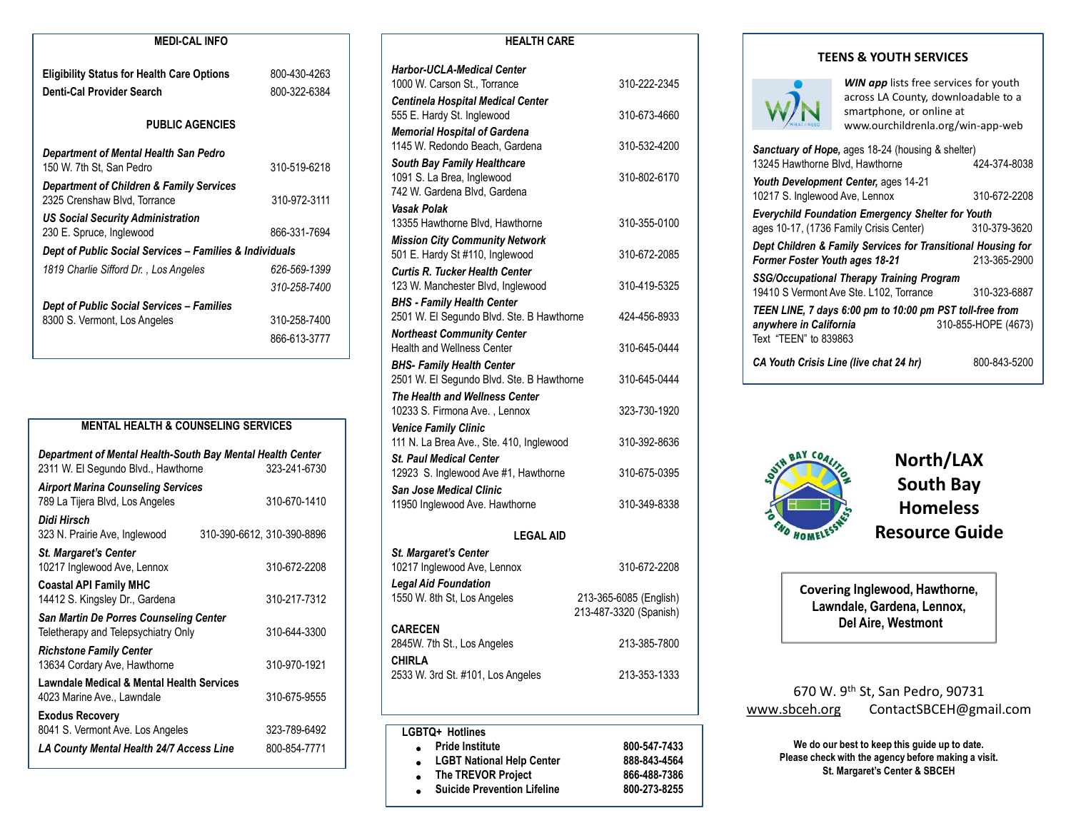| <b>MEDI-CAL INFO</b>                                                                |              |
|-------------------------------------------------------------------------------------|--------------|
| <b>Eligibility Status for Health Care Options</b>                                   | 800-430-4263 |
| Denti-Cal Provider Search                                                           | 800-322-6384 |
| <b>PUBLIC AGENCIES</b>                                                              |              |
| Department of Mental Health San Pedro                                               |              |
| 150 W. 7th St, San Pedro                                                            | 310-519-6218 |
| <b>Department of Children &amp; Family Services</b><br>2325 Crenshaw Blvd, Torrance | 310-972-3111 |
| <b>US Social Security Administration</b>                                            |              |
| 230 E. Spruce, Inglewood                                                            | 866-331-7694 |
| Dept of Public Social Services - Families & Individuals                             |              |
| 1819 Charlie Sifford Dr., Los Angeles                                               | 626-569-1399 |
|                                                                                     | 310-258-7400 |
| Dept of Public Social Services – Families                                           |              |
| 8300 S. Vermont, Los Angeles                                                        | 310-258-7400 |
|                                                                                     | 866-613-3777 |
|                                                                                     |              |

| <b>MENTAL HEALTH &amp; COUNSELING SERVICES</b>                                                    |                            |              |  |
|---------------------------------------------------------------------------------------------------|----------------------------|--------------|--|
| Department of Mental Health-South Bay Mental Health Center<br>2311 W. El Segundo Blvd., Hawthorne |                            | 323-241-6730 |  |
| <b>Airport Marina Counseling Services</b><br>789 La Tijera Blvd, Los Angeles                      |                            | 310-670-1410 |  |
| Didi Hirsch<br>323 N. Prairie Ave, Inglewood                                                      | 310-390-6612, 310-390-8896 |              |  |
| <b>St. Margaret's Center</b><br>10217 Inglewood Ave, Lennox                                       |                            | 310-672-2208 |  |
| <b>Coastal API Family MHC</b><br>14412 S. Kingsley Dr., Gardena                                   |                            | 310-217-7312 |  |
| San Martin De Porres Counseling Center<br>Teletherapy and Telepsychiatry Only                     |                            | 310-644-3300 |  |
| <b>Richstone Family Center</b><br>13634 Cordary Ave, Hawthorne                                    |                            | 310-970-1921 |  |
| <b>Lawndale Medical &amp; Mental Health Services</b><br>4023 Marine Ave., Lawndale                |                            | 310-675-9555 |  |
| <b>Exodus Recovery</b><br>8041 S. Vermont Ave. Los Angeles                                        |                            | 323-789-6492 |  |
| LA County Mental Health 24/7 Access Line                                                          |                            | 800-854-7771 |  |

| <b>HEALTH CARE</b>                                                             |                        |  |  |  |
|--------------------------------------------------------------------------------|------------------------|--|--|--|
| <b>Harbor-UCLA-Medical Center</b>                                              |                        |  |  |  |
| 1000 W. Carson St., Torrance                                                   | 310-222-2345           |  |  |  |
| <b>Centinela Hospital Medical Center</b>                                       |                        |  |  |  |
| 555 E. Hardy St. Inglewood                                                     | 310-673-4660           |  |  |  |
| <b>Memorial Hospital of Gardena</b><br>1145 W. Redondo Beach, Gardena          | 310-532-4200           |  |  |  |
| South Bay Family Healthcare                                                    |                        |  |  |  |
| 1091 S. La Brea, Inglewood                                                     | 310-802-6170           |  |  |  |
| 742 W. Gardena Blvd, Gardena                                                   |                        |  |  |  |
| <b>Vasak Polak</b><br>13355 Hawthorne Blvd, Hawthorne                          | 310-355-0100           |  |  |  |
| <b>Mission City Community Network</b>                                          |                        |  |  |  |
| 501 E. Hardy St #110, Inglewood                                                | 310-672-2085           |  |  |  |
| <b>Curtis R. Tucker Health Center</b>                                          |                        |  |  |  |
| 123 W. Manchester Blvd, Inglewood                                              | 310-419-5325           |  |  |  |
| <b>BHS - Family Health Center</b><br>2501 W. El Segundo Blvd. Ste. B Hawthorne | 424-456-8933           |  |  |  |
| <b>Northeast Community Center</b>                                              |                        |  |  |  |
| Health and Wellness Center                                                     | 310-645-0444           |  |  |  |
| <b>BHS- Family Health Center</b>                                               |                        |  |  |  |
| 2501 W. El Segundo Blvd. Ste. B Hawthorne                                      | 310-645-0444           |  |  |  |
| The Health and Wellness Center<br>10233 S. Firmona Ave., Lennox                | 323-730-1920           |  |  |  |
| <b>Venice Family Clinic</b>                                                    |                        |  |  |  |
| 111 N. La Brea Ave., Ste. 410, Inglewood                                       | 310-392-8636           |  |  |  |
| <b>St. Paul Medical Center</b>                                                 |                        |  |  |  |
| 12923 S. Inglewood Ave #1, Hawthorne                                           | 310-675-0395           |  |  |  |
| <b>San Jose Medical Clinic</b><br>11950 Inglewood Ave. Hawthorne               | 310-349-8338           |  |  |  |
|                                                                                |                        |  |  |  |
| <b>LEGAL AID</b>                                                               |                        |  |  |  |
| St. Margaret's Center                                                          |                        |  |  |  |
| 10217 Inglewood Ave, Lennox<br><b>Legal Aid Foundation</b>                     | 310-672-2208           |  |  |  |
| 1550 W. 8th St, Los Angeles                                                    | 213-365-6085 (English) |  |  |  |
|                                                                                | 213-487-3320 (Spanish) |  |  |  |
| <b>CARECEN</b>                                                                 |                        |  |  |  |
| 2845W. 7th St., Los Angeles                                                    | 213-385-7800           |  |  |  |
| CHIRLA<br>2533 W. 3rd St. #101, Los Angeles                                    | 213-353-1333           |  |  |  |
|                                                                                |                        |  |  |  |
|                                                                                |                        |  |  |  |
| LGBTQ+ Hotlines                                                                |                        |  |  |  |
| Pride Institute                                                                | 800-547-7433           |  |  |  |

•

•

•

**LGBT National Help Center** 

**Suicide Prevention Lifeline** 

The TREVOR Project **866-488-7386**<br>Suicide Prevention Lifeline 800-273-8255

| <b>TEENS &amp; YOUTH SERVICES</b> |  |  |  |  |  |
|-----------------------------------|--|--|--|--|--|
|-----------------------------------|--|--|--|--|--|



**WIN app** lists free services for youth across LA County, downloadable to a smartphone, or online at www.ourchildrenla.org/win-app-web

| Sanctuary of Hope, ages 18-24 (housing & shelter)<br>13245 Hawthorne Blvd. Hawthorne                  | 424-374-8038        |  |
|-------------------------------------------------------------------------------------------------------|---------------------|--|
| Youth Development Center, ages 14-21<br>10217 S. Inglewood Ave, Lennox                                | 310-672-2208        |  |
| <b>Everychild Foundation Emergency Shelter for Youth</b>                                              |                     |  |
| ages 10-17, (1736 Family Crisis Center)                                                               | 310-379-3620        |  |
| Dept Children & Family Services for Transitional Housing for<br><b>Former Foster Youth ages 18-21</b> | 213-365-2900        |  |
| SSG/Occupational Therapy Training Program                                                             |                     |  |
| 19410 S Vermont Ave Ste. L102, Torrance                                                               | 310-323-6887        |  |
| TEEN LINE, 7 days 6:00 pm to 10:00 pm PST toll-free from                                              |                     |  |
| anywhere in California<br>Text "TEEN" to 839863                                                       | 310-855-HOPE (4673) |  |
| CA Youth Crisis Line (live chat 24 hr)                                                                | 800-843-5200        |  |



**North/LAX South Bay Homeless Resource Guide**

**Covering Inglewood, Hawthorne, Lawndale, Gardena, Lennox, Del Aire, Westmont**

670 W. 9th St, San Pedro, 90731 [www.sbceh.org](http://www.sbceh.org/) ContactSBCEH@gmail.com

**LA County Mental Access Line Access Line Access Line County Mental Mental Access 26-868-843-4564**<br> **LA County Please check with the agency before making a visual please check with the agency before making a visual Please check with the agency before making a visit. St. Margaret's Center & SBCEH**